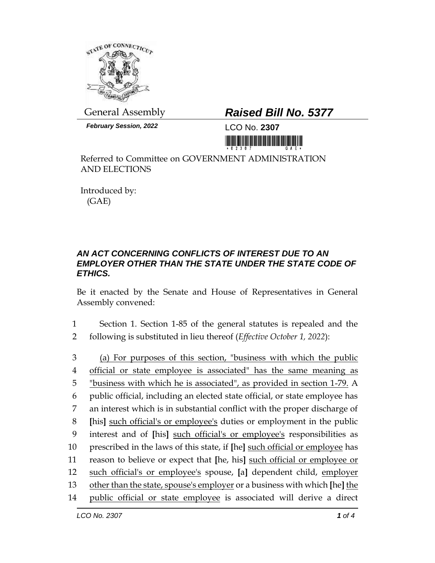

*February Session, 2022* LCO No. **2307**

## General Assembly *Raised Bill No. 5377*

<u> III maarta ka mid ah in maaraa ka mid ah in maarta ka m</u>

Referred to Committee on GOVERNMENT ADMINISTRATION AND ELECTIONS

Introduced by: (GAE)

## *AN ACT CONCERNING CONFLICTS OF INTEREST DUE TO AN EMPLOYER OTHER THAN THE STATE UNDER THE STATE CODE OF ETHICS.*

Be it enacted by the Senate and House of Representatives in General Assembly convened:

1 Section 1. Section 1-85 of the general statutes is repealed and the 2 following is substituted in lieu thereof (*Effective October 1, 2022*):

 (a) For purposes of this section, "business with which the public official or state employee is associated" has the same meaning as "business with which he is associated", as provided in section 1-79. A public official, including an elected state official, or state employee has an interest which is in substantial conflict with the proper discharge of **[**his**]** such official's or employee's duties or employment in the public interest and of **[**his**]** such official's or employee's responsibilities as prescribed in the laws of this state, if **[**he**]** such official or employee has reason to believe or expect that **[**he, his**]** such official or employee or such official's or employee's spouse, **[**a**]** dependent child, employer other than the state, spouse's employer or a business with which **[**he**]** the public official or state employee is associated will derive a direct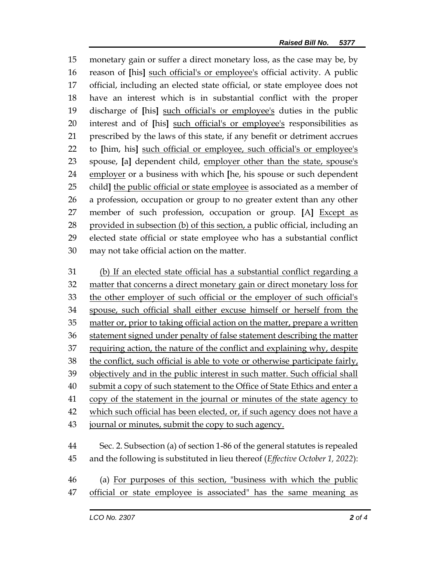monetary gain or suffer a direct monetary loss, as the case may be, by reason of **[**his**]** such official's or employee's official activity. A public official, including an elected state official, or state employee does not have an interest which is in substantial conflict with the proper discharge of **[**his**]** such official's or employee's duties in the public interest and of **[**his**]** such official's or employee's responsibilities as prescribed by the laws of this state, if any benefit or detriment accrues to **[**him, his**]** such official or employee, such official's or employee's spouse, **[**a**]** dependent child, employer other than the state, spouse's employer or a business with which **[**he, his spouse or such dependent child**]** the public official or state employee is associated as a member of a profession, occupation or group to no greater extent than any other member of such profession, occupation or group. **[**A**]** Except as 28 provided in subsection (b) of this section, a public official, including an elected state official or state employee who has a substantial conflict may not take official action on the matter.

 (b) If an elected state official has a substantial conflict regarding a 32 matter that concerns a direct monetary gain or direct monetary loss for the other employer of such official or the employer of such official's spouse, such official shall either excuse himself or herself from the matter or, prior to taking official action on the matter, prepare a written statement signed under penalty of false statement describing the matter requiring action, the nature of the conflict and explaining why, despite the conflict, such official is able to vote or otherwise participate fairly, 39 objectively and in the public interest in such matter. Such official shall submit a copy of such statement to the Office of State Ethics and enter a copy of the statement in the journal or minutes of the state agency to which such official has been elected, or, if such agency does not have a 43 journal or minutes, submit the copy to such agency. Sec. 2. Subsection (a) of section 1-86 of the general statutes is repealed and the following is substituted in lieu thereof (*Effective October 1, 2022*):

 (a) For purposes of this section, "business with which the public official or state employee is associated" has the same meaning as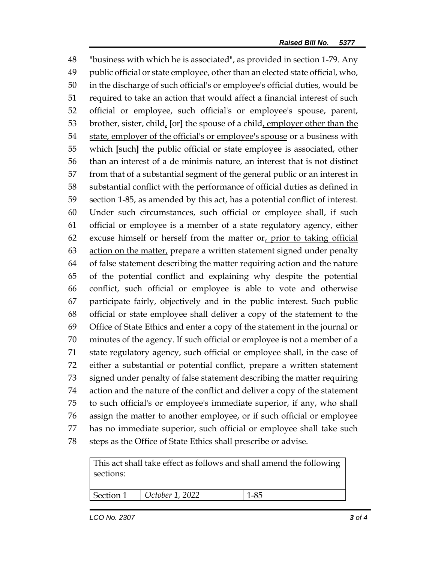"business with which he is associated", as provided in section 1-79. Any public official or state employee, other than an elected state official, who, in the discharge of such official's or employee's official duties, would be required to take an action that would affect a financial interest of such official or employee, such official's or employee's spouse, parent, brother, sister, child, **[**or**]** the spouse of a child, employer other than the 54 state, employer of the official's or employee's spouse or a business with which **[**such**]** the public official or state employee is associated, other than an interest of a de minimis nature, an interest that is not distinct from that of a substantial segment of the general public or an interest in substantial conflict with the performance of official duties as defined in section 1-85, as amended by this act, has a potential conflict of interest. Under such circumstances, such official or employee shall, if such official or employee is a member of a state regulatory agency, either 62 excuse himself or herself from the matter or, prior to taking official action on the matter, prepare a written statement signed under penalty of false statement describing the matter requiring action and the nature of the potential conflict and explaining why despite the potential conflict, such official or employee is able to vote and otherwise participate fairly, objectively and in the public interest. Such public official or state employee shall deliver a copy of the statement to the Office of State Ethics and enter a copy of the statement in the journal or minutes of the agency. If such official or employee is not a member of a state regulatory agency, such official or employee shall, in the case of either a substantial or potential conflict, prepare a written statement signed under penalty of false statement describing the matter requiring action and the nature of the conflict and deliver a copy of the statement to such official's or employee's immediate superior, if any, who shall assign the matter to another employee, or if such official or employee has no immediate superior, such official or employee shall take such steps as the Office of State Ethics shall prescribe or advise.

| sections: |                         | This act shall take effect as follows and shall amend the following |  |
|-----------|-------------------------|---------------------------------------------------------------------|--|
| Section 1 | $\vert$ October 1, 2022 | 1-85                                                                |  |